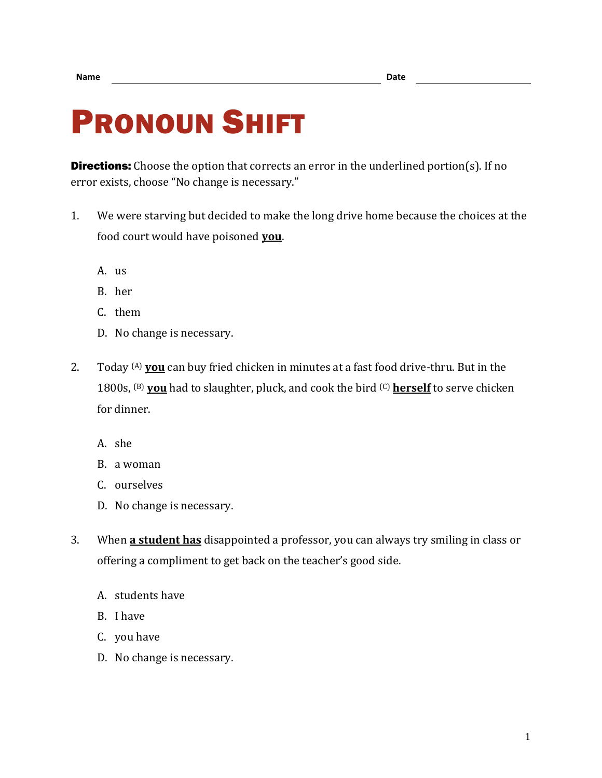## PRONOUN SHIFT

**Directions:** Choose the option that corrects an error in the underlined portion(s). If no error exists, choose "No change is necessary."

- 1. We were starving but decided to make the long drive home because the choices at the food court would have poisoned **you**.
	- A. us
	- B. her
	- C. them
	- D. No change is necessary.
- 2. Today (A) **you** can buy fried chicken in minutes at a fast food drive-thru. But in the 1800s, (B) **you** had to slaughter, pluck, and cook the bird (C) **herself** to serve chicken for dinner.
	- A. she
	- B. a woman
	- C. ourselves
	- D. No change is necessary.
- 3. When **a student has** disappointed a professor, you can always try smiling in class or offering a compliment to get back on the teacher's good side.
	- A. students have
	- B. I have
	- C. you have
	- D. No change is necessary.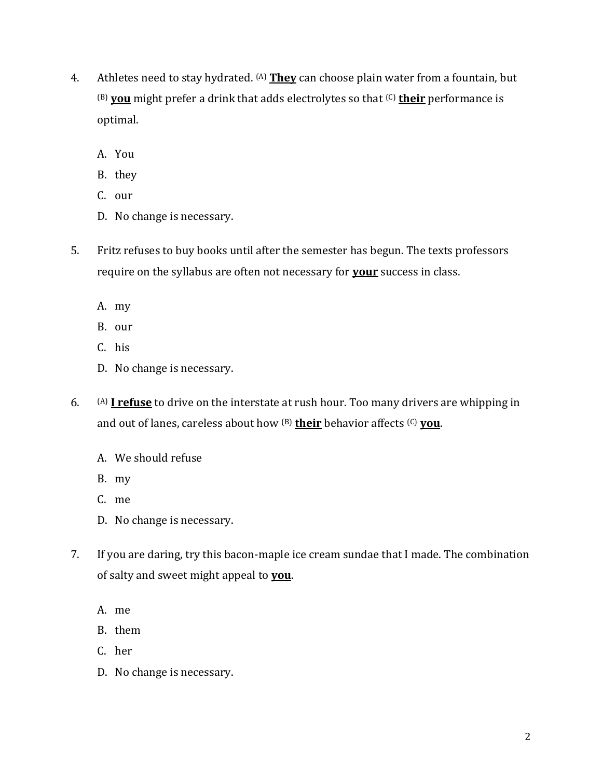- 4. Athletes need to stay hydrated. (A) **They** can choose plain water from a fountain, but (B) **you** might prefer a drink that adds electrolytes so that (C) **their** performance is optimal.
	- A. You
	- B. they
	- C. our
	- D. No change is necessary.
- 5. Fritz refuses to buy books until after the semester has begun. The texts professors require on the syllabus are often not necessary for **your** success in class.
	- A. my
	- B. our
	- C. his
	- D. No change is necessary.
- 6. (A) **I refuse** to drive on the interstate at rush hour. Too many drivers are whipping in and out of lanes, careless about how (B) **their** behavior affects (C) **you**.
	- A. We should refuse
	- B. my
	- C. me
	- D. No change is necessary.
- 7. If you are daring, try this bacon-maple ice cream sundae that I made. The combination of salty and sweet might appeal to **you**.
	- A. me
	- B. them
	- C. her
	- D. No change is necessary.